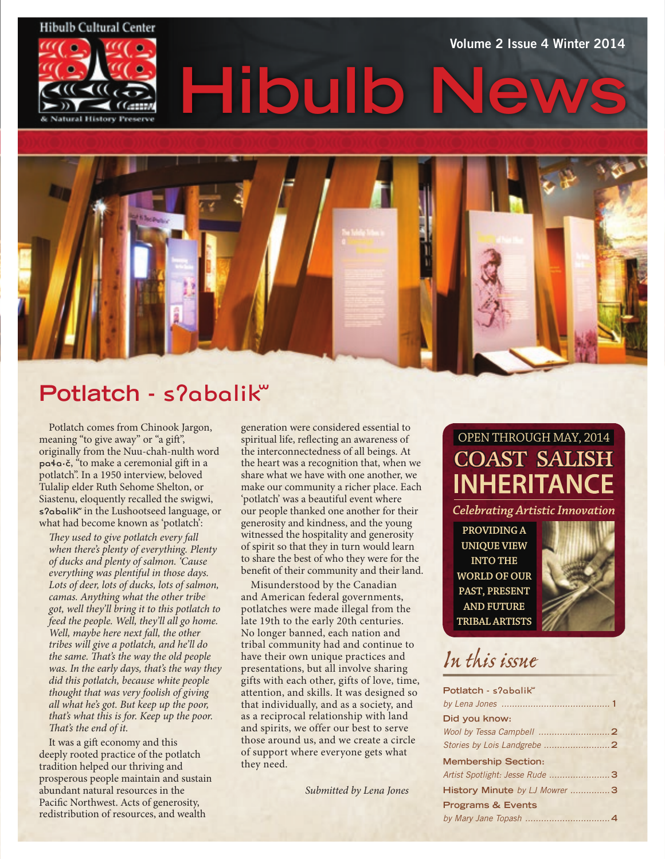

Volume 2 Issue 4 Winter 2014

**Hibulb** 

# **Potlatch -** sʔabalikʷ

Potlatch comes from Chinook Jargon, meaning "to give away" or "a gift", originally from the Nuu-chah-nulth word paɬa•č, "to make a ceremonial gift in a potlatch". In a 1950 interview, beloved Tulalip elder Ruth Sehome Shelton, or Siastenu, eloquently recalled the swigwi, s?abalik" in the Lushootseed language, or what had become known as 'potlatch':

*They used to give potlatch every fall when there's plenty of everything. Plenty of ducks and plenty of salmon. 'Cause everything was plentiful in those days. Lots of deer, lots of ducks, lots of salmon, camas. Anything what the other tribe got, well they'll bring it to this potlatch to feed the people. Well, they'll all go home. Well, maybe here next fall, the other tribes will give a potlatch, and he'll do the same. That's the way the old people was. In the early days, that's the way they did this potlatch, because white people thought that was very foolish of giving all what he's got. But keep up the poor, that's what this is for. Keep up the poor. That's the end of it.*

It was a gift economy and this deeply rooted practice of the potlatch tradition helped our thriving and prosperous people maintain and sustain abundant natural resources in the Pacific Northwest. Acts of generosity, redistribution of resources, and wealth

generation were considered essential to spiritual life, reflecting an awareness of the interconnectedness of all beings. At the heart was a recognition that, when we share what we have with one another, we make our community a richer place. Each 'potlatch' was a beautiful event where our people thanked one another for their generosity and kindness, and the young witnessed the hospitality and generosity of spirit so that they in turn would learn to share the best of who they were for the benefit of their community and their land.

Misunderstood by the Canadian and American federal governments, potlatches were made illegal from the late 19th to the early 20th centuries. No longer banned, each nation and tribal community had and continue to have their own unique practices and presentations, but all involve sharing gifts with each other, gifts of love, time, attention, and skills. It was designed so that individually, and as a society, and as a reciprocal relationship with land and spirits, we offer our best to serve those around us, and we create a circle of support where everyone gets what they need.

*Submitted by Lena Jones*

## OPEN THROUGH MAY, 2014 **COAST SALISH INHERITANCE**

*Celebrating Artistic Innovation*

**PROVIDING A UNIQUE VIEW INTO THE WORLD OF OUR PAST, PRESENT AND FUTURE TRIBAL ARTISTS**



# *In this issue*

| Potlatch - s?abalik"           |  |
|--------------------------------|--|
|                                |  |
| Did you know:                  |  |
|                                |  |
|                                |  |
| <b>Membership Section:</b>     |  |
| Artist Spotlight: Jesse Rude 3 |  |
| History Minute by LJ Mowrer 3  |  |
| <b>Programs &amp; Events</b>   |  |
|                                |  |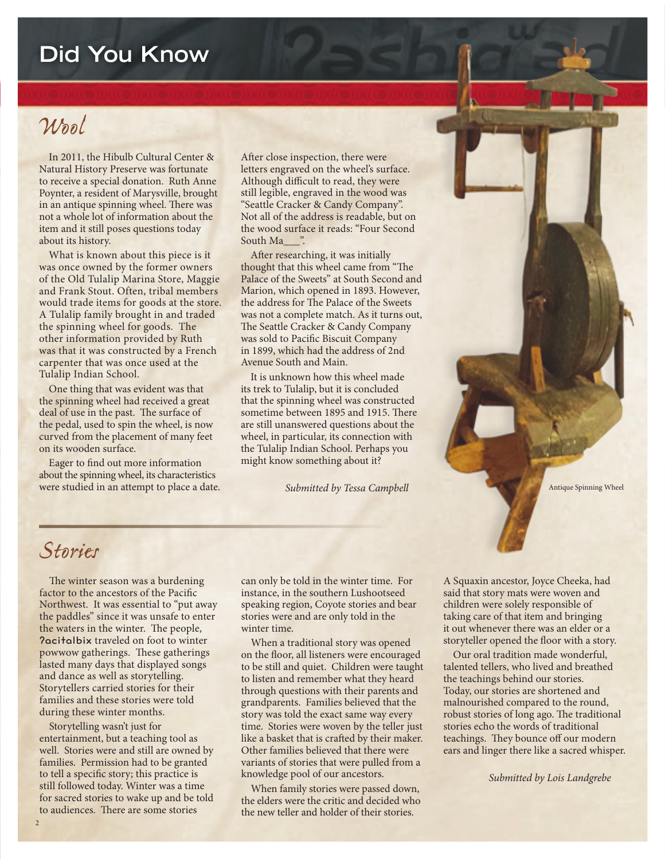### **Did You Know**

### *Wool*

In 2011, the Hibulb Cultural Center & Natural History Preserve was fortunate to receive a special donation. Ruth Anne Poynter, a resident of Marysville, brought in an antique spinning wheel. There was not a whole lot of information about the item and it still poses questions today about its history.

What is known about this piece is it was once owned by the former owners of the Old Tulalip Marina Store, Maggie and Frank Stout. Often, tribal members would trade items for goods at the store. A Tulalip family brought in and traded the spinning wheel for goods. The other information provided by Ruth was that it was constructed by a French carpenter that was once used at the Tulalip Indian School.

One thing that was evident was that the spinning wheel had received a great deal of use in the past. The surface of the pedal, used to spin the wheel, is now curved from the placement of many feet on its wooden surface.

Eager to find out more information about the spinning wheel, its characteristics were studied in an attempt to place a date.

After close inspection, there were letters engraved on the wheel's surface. Although difficult to read, they were still legible, engraved in the wood was "Seattle Cracker & Candy Company". Not all of the address is readable, but on the wood surface it reads: "Four Second South Ma\_\_\_".

After researching, it was initially thought that this wheel came from "The Palace of the Sweets" at South Second and Marion, which opened in 1893. However, the address for The Palace of the Sweets was not a complete match. As it turns out, The Seattle Cracker & Candy Company was sold to Pacific Biscuit Company in 1899, which had the address of 2nd Avenue South and Main.

It is unknown how this wheel made its trek to Tulalip, but it is concluded that the spinning wheel was constructed sometime between 1895 and 1915. There are still unanswered questions about the wheel, in particular, its connection with the Tulalip Indian School. Perhaps you might know something about it?

 *Submitted by Tessa Campbell*

Antique Spinning Wheel

### *Stories*

The winter season was a burdening factor to the ancestors of the Pacific Northwest. It was essential to "put away the paddles" since it was unsafe to enter the waters in the winter. The people, ʔacitalbix traveled on foot to winter powwow gatherings. These gatherings lasted many days that displayed songs and dance as well as storytelling. Storytellers carried stories for their families and these stories were told during these winter months.

Storytelling wasn't just for entertainment, but a teaching tool as well. Stories were and still are owned by families. Permission had to be granted to tell a specific story; this practice is still followed today. Winter was a time for sacred stories to wake up and be told to audiences. There are some stories

can only be told in the winter time. For instance, in the southern Lushootseed speaking region, Coyote stories and bear stories were and are only told in the winter time.

When a traditional story was opened on the floor, all listeners were encouraged to be still and quiet. Children were taught to listen and remember what they heard through questions with their parents and grandparents. Families believed that the story was told the exact same way every time. Stories were woven by the teller just like a basket that is crafted by their maker. Other families believed that there were variants of stories that were pulled from a knowledge pool of our ancestors.

When family stories were passed down, the elders were the critic and decided who the new teller and holder of their stories.

A Squaxin ancestor, Joyce Cheeka, had said that story mats were woven and children were solely responsible of taking care of that item and bringing it out whenever there was an elder or a storyteller opened the floor with a story.

Our oral tradition made wonderful, talented tellers, who lived and breathed the teachings behind our stories. Today, our stories are shortened and malnourished compared to the round, robust stories of long ago. The traditional stories echo the words of traditional teachings. They bounce off our modern ears and linger there like a sacred whisper.

 *Submitted by Lois Landgrebe*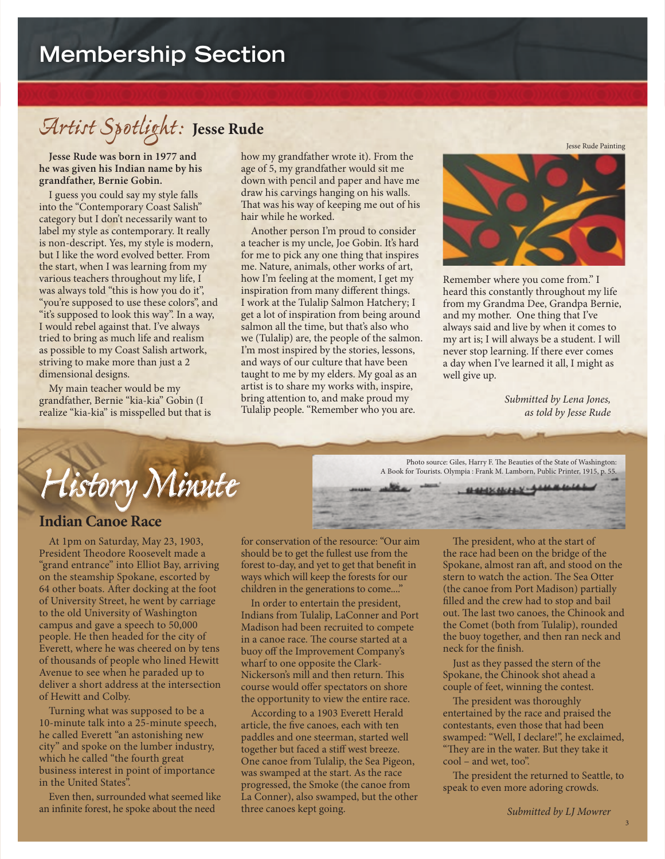# *Artist Spotlight:* **Jesse Rude**

**Jesse Rude was born in 1977 and he was given his Indian name by his grandfather, Bernie Gobin.**

I guess you could say my style falls into the "Contemporary Coast Salish" category but I don't necessarily want to label my style as contemporary. It really is non-descript. Yes, my style is modern, but I like the word evolved better. From the start, when I was learning from my various teachers throughout my life, I was always told "this is how you do it", "you're supposed to use these colors", and "it's supposed to look this way". In a way, I would rebel against that. I've always tried to bring as much life and realism as possible to my Coast Salish artwork, striving to make more than just a 2 dimensional designs.

My main teacher would be my grandfather, Bernie "kia-kia" Gobin (I realize "kia-kia" is misspelled but that is how my grandfather wrote it). From the age of 5, my grandfather would sit me down with pencil and paper and have me draw his carvings hanging on his walls. That was his way of keeping me out of his hair while he worked.

Another person I'm proud to consider a teacher is my uncle, Joe Gobin. It's hard for me to pick any one thing that inspires me. Nature, animals, other works of art, how I'm feeling at the moment, I get my inspiration from many different things. I work at the Tulalip Salmon Hatchery; I get a lot of inspiration from being around salmon all the time, but that's also who we (Tulalip) are, the people of the salmon. I'm most inspired by the stories, lessons, and ways of our culture that have been taught to me by my elders. My goal as an artist is to share my works with, inspire, bring attention to, and make proud my Tulalip people. "Remember who you are.



Remember where you come from." I heard this constantly throughout my life from my Grandma Dee, Grandpa Bernie, and my mother. One thing that I've always said and live by when it comes to my art is; I will always be a student. I will never stop learning. If there ever comes a day when I've learned it all, I might as well give up.

Photo source: Giles, Harry F. The Beauties of the State of Washington: A Book for Tourists. Olympia : Frank M. Lamborn, Public Printer, 1915, p. 55.

**SHOCHLIN-SHARE** 

*Submitted by Lena Jones, as told by Jesse Rude*

*History Minute*

#### **Indian Canoe Race**

At 1pm on Saturday, May 23, 1903, President Theodore Roosevelt made a "grand entrance" into Elliot Bay, arriving on the steamship Spokane, escorted by 64 other boats. After docking at the foot of University Street, he went by carriage to the old University of Washington campus and gave a speech to 50,000 people. He then headed for the city of Everett, where he was cheered on by tens of thousands of people who lined Hewitt Avenue to see when he paraded up to deliver a short address at the intersection of Hewitt and Colby.

Turning what was supposed to be a 10-minute talk into a 25-minute speech, he called Everett "an astonishing new city" and spoke on the lumber industry, which he called "the fourth great business interest in point of importance in the United States<sup>"</sup>.

Even then, surrounded what seemed like an infinite forest, he spoke about the need

for conservation of the resource: "Our aim should be to get the fullest use from the forest to-day, and yet to get that benefit in ways which will keep the forests for our children in the generations to come...."

In order to entertain the president, Indians from Tulalip, LaConner and Port Madison had been recruited to compete in a canoe race. The course started at a buoy off the Improvement Company's wharf to one opposite the Clark-Nickerson's mill and then return. This course would offer spectators on shore the opportunity to view the entire race.

According to a 1903 Everett Herald article, the five canoes, each with ten paddles and one steerman, started well together but faced a stiff west breeze. One canoe from Tulalip, the Sea Pigeon, was swamped at the start. As the race progressed, the Smoke (the canoe from La Conner), also swamped, but the other three canoes kept going.

The president, who at the start of the race had been on the bridge of the Spokane, almost ran aft, and stood on the stern to watch the action. The Sea Otter (the canoe from Port Madison) partially filled and the crew had to stop and bail out. The last two canoes, the Chinook and the Comet (both from Tulalip), rounded the buoy together, and then ran neck and neck for the finish.

Just as they passed the stern of the Spokane, the Chinook shot ahead a couple of feet, winning the contest.

The president was thoroughly entertained by the race and praised the contestants, even those that had been swamped: "Well, I declare!", he exclaimed, "They are in the water. But they take it cool – and wet, too".

The president the returned to Seattle, to speak to even more adoring crowds.

Jesse Rude Painting